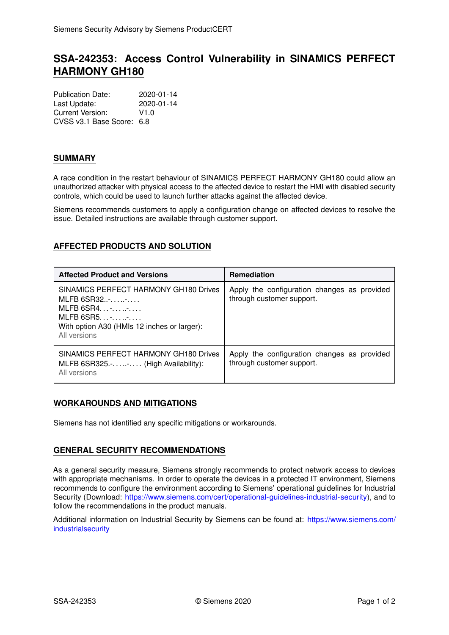# **SSA-242353: Access Control Vulnerability in SINAMICS PERFECT HARMONY GH180**

Publication Date: 2020-01-14 Last Update: 2020-01-14 Current Version: V1.0 CVSS v3.1 Base Score: 6.8

### **SUMMARY**

A race condition in the restart behaviour of SINAMICS PERFECT HARMONY GH180 could allow an unauthorized attacker with physical access to the affected device to restart the HMI with disabled security controls, which could be used to launch further attacks against the affected device.

Siemens recommends customers to apply a configuration change on affected devices to resolve the issue. Detailed instructions are available through customer support.

# **AFFECTED PRODUCTS AND SOLUTION**

| <b>Affected Product and Versions</b>                                                                                                                                 | <b>Remediation</b>                                                       |
|----------------------------------------------------------------------------------------------------------------------------------------------------------------------|--------------------------------------------------------------------------|
| SINAMICS PERFECT HARMONY GH180 Drives<br>MLFB 6S R32<br>MLFB $6$ SR4 $\cdot$ $\cdot$<br>MLFB $6$ SR5-<br>With option A30 (HMIs 12 inches or larger):<br>All versions | Apply the configuration changes as provided<br>through customer support. |
| SINAMICS PERFECT HARMONY GH180 Drives<br>MLFB 6SR325 (High Availability):<br>All versions                                                                            | Apply the configuration changes as provided<br>through customer support. |

# **WORKAROUNDS AND MITIGATIONS**

Siemens has not identified any specific mitigations or workarounds.

# **GENERAL SECURITY RECOMMENDATIONS**

As a general security measure, Siemens strongly recommends to protect network access to devices with appropriate mechanisms. In order to operate the devices in a protected IT environment, Siemens recommends to configure the environment according to Siemens' operational guidelines for Industrial Security (Download: [https://www.siemens.com/cert/operational-guidelines-industrial-security\)](https://www.siemens.com/cert/operational-guidelines-industrial-security), and to follow the recommendations in the product manuals.

Additional information on Industrial Security by Siemens can be found at: [https://www.siemens.com/](https://www.siemens.com/industrialsecurity) [industrialsecurity](https://www.siemens.com/industrialsecurity)